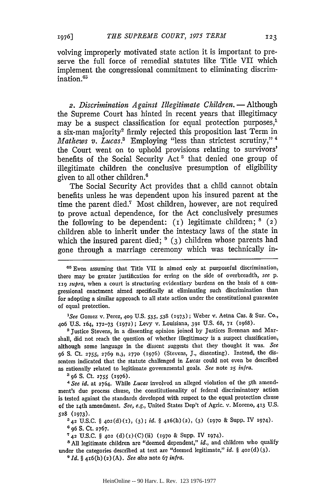volving improperly motivated state action it is important to preserve the full force of remedial statutes like Title VII which implement the congressional commitment to eliminating discrim $ination<sup>65</sup>$ 

2. *Discrimination Against Illegitimate Children*. — Although the Supreme Court has hinted in recent years that illegitimacy may be a suspect classification for equal protection purposes,<sup>1</sup> a six-man majority2 firmly rejected this proposition last Term in *Mathews v. Lucas.3* Employing "less than strictest scrutiny," 4 the Court went on to uphold provisions relating to survivors' benefits of the Social Security Act<sup>5</sup> that denied one group of illegitimate children the conclusive presumption of eligibility given to all other children.<sup>6</sup>

The Social Security Act provides that a child cannot obtain benefits unless he was dependent upon his insured parent at the time the parent died.<sup>7</sup> Most children, however, are not required to prove actual dependence, for the Act conclusively presumes the following to be dependent:  $(1)$  legitimate children;  $(2)$ children able to inherit under the intestacy laws of the state in which the insured parent died; <sup>9</sup> (3) children whose parents had gone through a marriage ceremony which was technically in-

*'See* Gomez v. Perez, **409** U.S. 535, *538* (i973); Weber v. Aetna Cas. & Sur. Co., **406** U.S. x64, 172-73 **(1972);** Levy v. Louisiana, 391 U.S. 68, **7,** (1968).

<sup>2</sup> Justice Stevens, in a dissenting opinion joined by Justices Brennan and Marshall, did not reach the question of whether illegitimacy is a suspect classification, although some language in the dissent suggests that they thought it was. *See* **96 S.** Ct. **2755, 2769** n.3, **2770 (1976)** (Stevens, *J.,* dissenting). Instead, the dissenters indicated that the statute challenged in *Lucas* could not even be described as rationally related to legitimate governmental goals. *See* note **25** *infra.*

**<sup>3</sup>**96 S. Ct. **2755** (1976).

<sup>4</sup> See id. at 2764. While *Lucas* involved an alleged violation of the 5th amendment's due process clause, the constitutionality of federal discriminatory action is tested against the standards developed with respect to the equal protection clause of the 14 th amendment. *See, e.g.,* United States Dep't of Agric. v. Moreno, **413** U.S. 528 (1973).

 $^{5}$  42 U.S.C. § 402(d)(1), (3); *id.* § 416(h)(2), (3) (1970 & Supp. IV 1974).  $^{6}$  96 S. Ct. 2767.

**S42** U.S.C. § 402 (d) (i) (C) (ii) **(1970** & Supp. IV 1974).

**<sup>8</sup> All** legitimate children are "deemed dependent," *id.,* and children who qualify under the categories described at text are "deemed legitimate," *id. §* **<sup>4</sup> 02(d) (3).**

*<sup>9</sup> Id. §* <sup>4</sup> 16(h) (2) (A). *See also* note 67 *infra.*

**<sup>0&#</sup>x27;** Even assuming that Title VII is aimed only at purposeful discrimination, there may be greater justification for erring on the side of overbreadth, *see* p. *ri9 supra,* when a court is structuring evidentiary burdens on the basis of a congressional enactment aimed specifically at eliminating such discrimination than for adopting a similar approach to all state action under the constitutional guarantee of equal protection.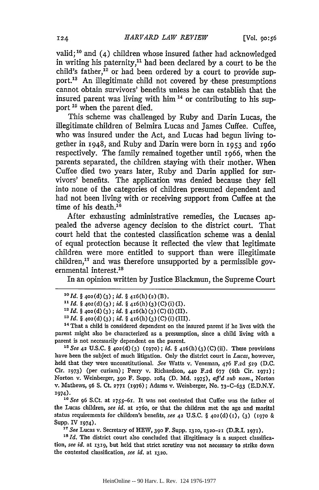valid;"0 and **(4)** children whose insured father had acknowledged in writing his paternity," had been declared **by** a court to be the child's father,<sup>12</sup> or had been ordered by a court to provide support.<sup>13</sup> An illegitimate child not covered by these presumptions cannot obtain survivors' benefits unless he can establish that the insured parent was living with him  $<sup>14</sup>$  or contributing to his sup-</sup> port **'5** when the parent died.

This scheme was challenged by Ruby and Darin Lucas, the illegitimate children of Belmira Lucas and James Cuffee. Cuffee, who was insured under the Act, and Lucas had begun living together in **1948,** and Ruby and Darin were born in **I953** and **i96o** respectively. The family remained together until 1966, when the parents separated, the children staying with their mother. When Cuffee died two years later, Ruby and Darin applied for survivors' benefits. The application was denied because they fell into none of the categories of children presumed dependent and **had** not been living with or receiving support from Cuffee at the time of his death.<sup>16</sup>

After exhausting administrative remedies, the Lucases appealed the adverse agency decision to 'the district court. That court held that the contested classification scheme was a denial of equal protection because it reflected the view that legitimate children were more entitled to support than were illegitimate children, 17 and was therefore unsupported **by** a permissible governmental interest.<sup>18</sup>

In an opinion written **by** Justice Blackmun, the Supreme Court

*12 Id. §* **402 (d) (3);** *id. §* <sup>4</sup> 16(h) **(3) (C) i)** (II).

*'3 Id. §* **402(d) (3);** *id. §* <sup>4</sup> 6(h) **(3) (C)** (i) (III).

**<sup>14</sup>**That a child is considered dependent on the insured parent if he lives with **the** parent might also be characterized as a presumption, since a child living with a parent is not necessarily dependent on the parent.<br><sup>15</sup>*See*  $42$  U.S.C.  $\S$   $402(d)(3)$  (1970); *id.*  $\S$   $416(h)(3)(C)(ii)$ . These provisions

have been the subject of much litigation. Only the district court in *Lucas,* however, held that they were unconstitutional. *See* Watts v. Veneman, 476 **F.2d 529 (D.C.** Cir. **1973)** (per curiam); Perry v. Richardson, **440 F.2d 677** (6th Cir. **1971);** Norton v. Weinberger, **39o** F. Supp. **1084 (D. Md. 1975),** *aff'd sub nor.,* Norton v. Mathews, *96* **S.** Ct. **277X (1976);** Adams v. Weinberger, No. **73-C-633 (E.D.N.Y.** '974).

**<sup>16</sup>***See* **96** S.Ct. at **2755-61.** It was not contested that Cuffee was the father of the Lucas children, *see id.* at **276o,** or that the children met the age and marital status requirements for children's benefits, *see* **42 U.S.C.** *§* **402(d) (I), (3) (1970 &** Supp. IV **1974).**

*"7 See* Lucas v. Secretary of HEW, **390** F. Supp. **1310, 1320-21** (D.R.I. **i971).**

<sup>18</sup> *Id.* The district court also concluded that illegitimacy is a suspect classification, *see id.* at **1319, but** held that strict scrutiny was not necessary to strike down the contested classification, *see id.* at **1320.**

*<sup>&</sup>quot;°Id. §* **402(d) (3);** *id. §* <sup>4</sup> 16(h) **(2)** (B).

 $^{11}$  *Id.* §  $402$  (d) (3); *id.* §  $416$  (h) (3) (C) (i) (I).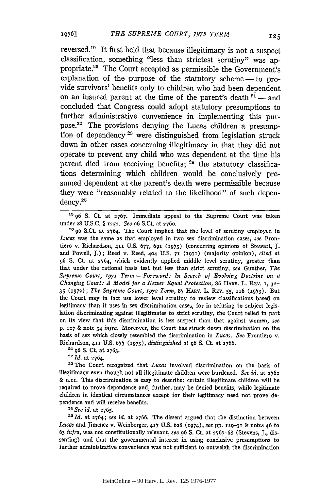reversed.<sup>19</sup> It first held that because illegitimacy is not a suspect classification, something "less than strictest scrutiny" was appropriate.<sup>20</sup> The Court accepted as permissible the Government's explanation of the purpose of the statutory scheme -- to provide survivors' benefits only to children who had been dependent on an insured parent at the time of the parent's death  $2^1$  - and concluded that Congress could adopt statutory presumptions to further administrative convenience in implementing this purpose.<sup>22</sup> The provisions denying the Lucas children a presumption of dependency **<sup>2</sup> <sup>3</sup>**were distinguished from legislation struck down in other cases concerning illegitimacy in that they did not operate to prevent any child who was dependent at the time his parent died from receiving benefits; <sup>24</sup> the statutory classifications determining which children would be conclusively presumed dependent at the parent's death were permissible because they were "reasonably related to the likelihood" of such dependency.<sup>25</sup>

**10 96** S. Ct. at **2767.** Immediate appeal to the Supreme Court was taken under **28** U.S.C. § 1252. *See* 96 S.Ct. at **2760.**

**<sup>20</sup>**96 S.Ct. at 2764. The Court implied that the level of scrutiny employed in *Lucas* was the same as that employed in two sex discrimination cases, see Frontiero v. Richardson, **411** U.S. 677, 691 (1973) (concurring opinions of Stewart, **J.** and Powell, J.); Reed v. Reed, **404** U.S. **71** (1971) (majority opinion), *cited at* 96 **S.** Ct. at 2764, which evidently applied middle level scrutiny, greater than that under the rational basis test but less than strict scrutiny, *see* Gunther, *The Supreme Court, z971 Term- Foreword: It Search of Evolving Doctrine on a Changing Court: A Model for a Newer Equal Protection,* 86 HARV. L. REV. 1, 32-35 **(1972);** *The Supreme Court, 1972 Term,* 87 HARV. L. REV. **55,** 1i6 (1973). But the Court may in fact use lower level scrutiny to review classifications based on legitimacy than it uses in sex discrimination cases, for in refusing to subject legislation discriminating against illegitimates to strict scrutiny, the Court relied in part on its view that this discrimination is less suspect than that against women, *see* p. **127** & note 34 *infra.* Moreover, the Court has struck down discrimination on the basis of sex which closely resembled the discrimination in *Lucas. See* Frontiero v. Richardson, **411** U.S. 677 (1973), *distinguished at* 96 **S.** Ct. at 2766.

**2196 S.** Ct. at **2763.**

*12 Id.* at 2764.

**<sup>22</sup>**The Court recognized that *Lucas* involved discrimination on the basis of illegitimacy even though not all illegitimate children were burdened. *See id.* at **2762** & n.ii. This discrimination is easy to describe: certain illegitimate children will be required to prove dependence and, further, may be denied benefits, while legitimate children in identical circumstances except for their legitimacy need not prove dependence and will receive benefits.

**<sup>24</sup>***See id.* at **2765.**

**<sup>2</sup>***Id.* at 2764; *see id.* at 2766. The dissent argued that the distinction between *Lucas* and Jimenez v. Weinberger, **417** U.S. **628** (1974), *see* pp. 129-31 & notes 46 to 63 *infra,* was not constitutionally relevant, *see* 96 **S.** Ct. at 2767-68 (Stevens, **J.,** dissenting) and that the governmental interest in using conclusive presumptions to further administrative convenience was not sufficient to outweigh the discrimination

**1976]**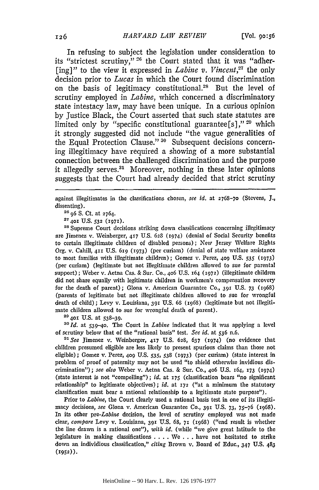In refusing to subject the legislation under consideration to its "strictest scrutiny," <sup>26</sup> the Court stated that it was "adher-[ing]" to the view it expressed in *Labine v. Vincent*<sup>27</sup>, the only decision prior to *Lucas* in which the Court found discrimination on the basis of legitimacy constitutional.<sup>28</sup> But the level of scrutiny employed in *Labine,* which concerned a discriminatory state intestacy law, may have been unique. In a curious opinion by Justice Black, the Court asserted that such state statutes are limited only by "specific constitutional guarantee[s],"  $20$  which it strongly suggested did not include "the vague generalities of the Equal Protection Clause." **30** Subsequent decisions concerning illegitimacy have required a showing of a more substantial connection between the challenged discrimination and the purpose it allegedly serves.<sup>31</sup> Moreover, nothing in these later opinions suggests that the Court had already decided that strict scrutiny

against illegitimates in the classifications chosen, see *id.* at 2768-70 (Stevens, **J.,** dissenting).

26 **96 S.** Ct. at 2764.

**27 401 U.S. 532** (I97I).

**28** Supreme Court decisions striking down classifications concerning illegitimacy are Jimenez v. Weinberger, 417 U.S. 628 (I974) (denial of Social Security benefits to certain illegitimate children of disabled persons) ; New Jersey Welfare Rights Org. v. Cahill, **411** U.S. 61g (1973) (per curiam) (denial of state welfare assistance to most families with illegitimate children) ; Gomez v. Perez, 409 U.S. **535** (I973) (per curiam) (legitimate but not illegitimate children allowed to sue for parental support) ; Weber v. Aetna Cas. & Sur. Co., **406** U.S. 164 **(1972)** (illegitimate children did not share equally with legitimate children in workmen's compensation recovery for the death of parent); Glona v. American Guarantee Co., **391** U.S. 73 (1968) (parents of legitimate but not illegitimate children allowed to sue for wrongful death of child); Levy v. Louisiana, **391** U.S. 68 (2968) (legitimate but not illegitimate children allowed to sue for wrongful death of parent).

29 **401** U.S. at 538-39.

*aOld.* at **539-40.** The Court in *Labine* indicated that it was applying a level of scrutiny below that of the "rational basis" test. *See id.* at 536 n.6.

*"1 See* Jimenez v. Weinberger, 417 U.S. **628, 637** (1974) (no evidence that children presumed eligible are less likely to present spurious claims than those not eligible); Gomez v. Perez, 409 U.S. 535, 538 (1973) (per curiam) (state interest in problem of proof of paternity may not be used "to shield otherwise invidious discrimination"); *see also* Weber v. Aetna Cas. & Sur. **Co., 406 U.S.** 164, **273** (974) (state interest is not "compelling") **;** *id.* at **175** (classification bears "no significant relationship" to legitimate objectives); *id.* at **172** ("at a minimum the statutory classification must bear a rational relationship to a legitimate state purpose").

Prior to *Labine,* the Court clearly used a rational basis test in one of its illegitimacy decisions, see Glona v. American Guarantee Co., 391 U.S. 73, 75-76 (1968). In its other *pre-Labine* decision, the level of scrutiny employed was not made clear, *compare* Levy v. Louisiana, **391** U.S. 68, **7,** (1968) ("end result is whether the line drawn is a rational one"), *with id.* (while "we give great latitude to the legislature in making classifications . **. .** . We . . . have not hesitated to strike down an individious classification," *citing* Brown v. Board of Educ., 347 U.S. **483 (1952)).**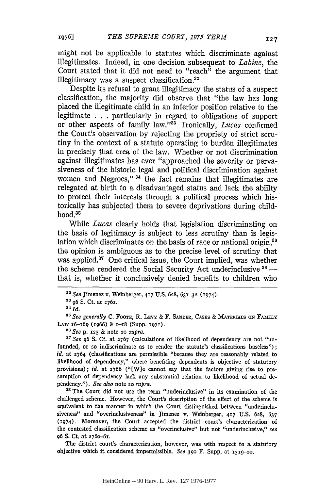might not be applicable to statutes which discriminate against illegitimates. Indeed, in one decision subsequent to *Labine,* the Court stated that it did not need to "reach" the argument that illegitimacy was a suspect classification.<sup>32</sup>

Despite its refusal to grant illegitimacy the status of a suspect classification, the majority did observe that "the law has long placed the illegitimate child in an inferior position relative to the legitimate . **. .** particularly in regard to obligations of support or other aspects of family law."3 Ironically, *Lucas* confirmed the Court's observation by rejecting the propriety of strict scrutiny in the context of a statute operating to burden illegitimates in precisely that area of the law. Whether or not discrimination against illegitimates has ever "approached the severity or pervasiveness of the historic legal and political discrimination against women and Negroes,"<sup>34</sup> the fact remains that illegitimates are relegated at birth to a disadvantaged status and lack the abiilty to protect their interests through a political process which historically has subjected them to severe deprivations during child $h$ ood. $35$ 

While *Lucas* clearly holds that legislation discriminating on the basis of legitimacy is subject to less scrutiny than is legislation which discriminates on the basis of race or national origin, $36$ the opinion is ambiguous as to the precise level of scrutiny that was applied.<sup>37</sup> One critical issue, the Court implied, was whether the scheme rendered the Social Security Act underinclusive **38**  that is, whether it conclusively denied benefits to children who

*<sup>11</sup>See generally* C. **FoOTE,** R. **LEvY** & F. **SANDER, CASES** & **MATERIALS oN FAmIY LAW** x6-169 (1966) & 1-18 (Supp. **197i).**

*<sup>6</sup>See* p. 125 & note **20** *supra.*

*" See* **96** S. Ct. at **2767** (calculations of likelihood of dependency are not "unfounded, or so indiscriminate as to render the statute's classifications baseless") **;** *id.* at 2764 (classifications are permissible "because they are reasonably related to likelihood of dependency," where benefiting dependents is objective of statutory provisions); *id.* at **2766** ("[W]e cannot say that the factors giving rise to presumption of dependency lack any substantial relation to likelihood of actual dependency."). *See also* note **20** *supra.*

**<sup>38</sup>**The Court did not use the term "underinclusive" in its examination of the challenged scheme. However, the Court's description of the effect of the scheme is equivalent to the manner in which the Court distinguished between "underinclusiveness" and "overinclusiveness" in Jimenez v. Weinberger, 417 U.S. 628, 637 (1974). Moreover, the Court accepted the district court's characterization of the contested classification scheme as "overinclusive" but not "underinclusive," *see* **96** S. Ct. at **276o-61.**

The district court's characterization, however, was with respect to a statutory objective which it considered impermissible. *See* **39o** F. Supp. at **1319-20.**

*<sup>2</sup> See* Jimenez v. Weinberger, 417 U.S. **628, 631-32** (1974).

**<sup>33 96</sup> S.** Ct. at **2762.**

**<sup>34</sup> Id.**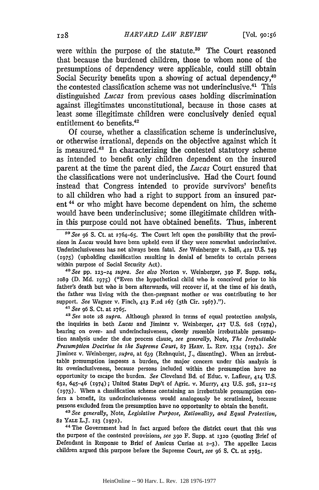were within the purpose of the statute. $39$  The Court reasoned that because the burdened children, those to whom none of the presumptions of dependency were applicable, could still obtain Social Security benefits upon a showing of actual dependency, $4$ the contested classification scheme was not underinclusive.41 This distinguished *Lucas* from previous cases holding discrimination against illegitimates unconstitutional, because in those cases at least some illegitimate children were conclusively denied equal entitlement to benefits. $42$ 

Of course, whether a classification scheme is underinclusive, or otherwise irrational, depends on the objective against which it is measured.43 In characterizing the contested statutory scheme as intended to benefit only children dependent on the insured parent at the time the parent died, the *Lucas* Court ensured that the classifications were not underinclusive. Had the Court found instead that Congress intended to provide survivors' benefits to all children who had a right to support from an insured parent<sup>44</sup> or who might have become dependent on him, the scheme would have been underinclusive; some illegitimate children within this purpose could not have obtained benefits. Thus, inherent

io89 **(D. Md.** 1975) ("Even the hypothetical child who is conceived prior to his father's death but who is born afterwards, will recover if, at the time of his death, the father was living with the then-pregnant mother or was contributing to her support. *See* Wagner v. Finch, 413 F.2d **267** (5th Cir. 1967).").

*<sup>41</sup>See* **96 S.** Ct. at **2765.**

*<sup>42</sup>See* note **28** *supra.* Although phrased in terms of equal protection analysis, the inquiries in both *Lucas* and Jiminez v. Weinberger, 417 U.S. 628 (1974), bearing on over- and underinclusiveness, closely resemble irrebuttable presumption analysis under the due process clause, *see generally,* Note, The *Irrebuttable Presumption Doctrine in the Supreme Court,* **87 HARv. L. REv.** 1534 **(2974).** *See* Jiminez v. Weinberger, *supra,* at 639 (Rehnquist, **J.,** dissenting). When an irrebuttable presumption imposes a burden, the major concern under this analysis is its overinclusiveness, because persons included within the presumption have no opportunity to escape the burden. *See* Cleveland Bd. of Educ. v. Lafleur, 414 U.S. **632,** 645-46 (i974); United States Dep't of Agric. v. Murry, **43** U.S. 5o8, **512-X5** (1973). When a classification scheme containing an irrebuttable presumption confers a benefit, its underinclusiveness would analogously be scrutinized, because persons excluded from the presumption have no opportunity to obtain the benefit.

*" See generally,* Note, *Legislative Purpose, Rationality, and Equal Protection,* **82 YALE L.J. 123 (1972).**

**4"** The Government had in fact argued before the district court that this was the purpose of the contested provisions, *see* **390** F. Supp. at 1320 (quoting Brief of Defendant in Response to Brief of Amicus Curiae at **2-3).** The appellee Lucas children argued this purpose before the Supreme Court, *see* 96 **S.** Ct. at **2763.**

<sup>&</sup>lt;sup>39</sup> See 96 S. Ct. at  $2764-65$ . The Court left open the possibility that the provisions in *Lucas* would have been upheld even if they were somewhat underinclusive. Underinclusiveness has not always been fatal. *See* Weinberger v. Salfi, **422** U.S. 749 (1975) (upholding classification resulting in denial of benefits to certain persons within purpose of Social Security Act).<br><sup>40</sup> See pp. 123-24 *supra. See also* Norton v. Weinberger, 390 F. Supp. 1084,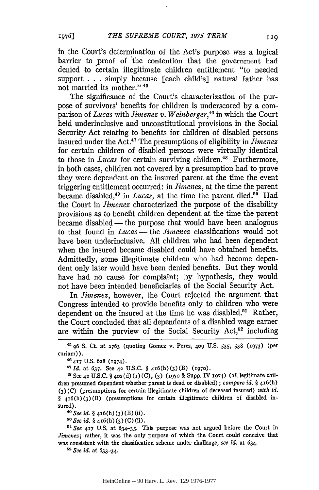in the Court's determination of the Act's purpose was a logical barrier to proof of the contention that the government had denied to certain illegitimate children entitlement "to needed support . . . simply because [each child's] natural father has not married its mother." 45

The significance of the Court's characterization of the purpose of survivors' benefits for children is underscored by a comparison of *Lucas* with *Jimenez v. Weinberger*,<sup>46</sup> in which the Court held underinclusive and unconstitutional provisions in the Social Security Act relating to benefits for children of disabled persons insured under the Act.<sup>47</sup> The presumptions of eligibility in *Jimenez* for certain children of disabled persons were virtually identical to those in *Lucas* for certain surviving children.<sup>48</sup> Furthermore, in both cases, children not covered by a presumption had to prove they were dependent on the insured parent at the time the event triggering entitlement occurred: in *Jimenez,* at the time the parent became disabled,<sup>49</sup> in *Lucas*, at the time the parent died.<sup>50</sup> Had the Court in *Jimenez* characterized the purpose of the disability provisions as to benefit children dependent at the time the parent became disabled — the purpose that would have been analogous to that found in *Lucas* **-** the *Jimenez* classifications would not have been underinclusive. All children who had been dependent when the insured became disabled could have obtained benefits. Admittedly, some illegitimate children who had become dependent only later would have been denied benefits. But they would have had no cause for complaint; by hypothesis, they would not have been intended beneficiaries of the Social Security Act.

In *Jimenez,* however, the Court rejected the argument that Congress intended to provide benefits only to children who were dependent on the insured at the time he was disabled.<sup>51</sup> Rather, the Court concluded that all dependents of a disabled wage earner are within the purview of the Social Security Act,<sup>52</sup> including

<sup>46</sup>**47 US. 628** (1974). *<sup>47</sup> 1d.* at **637.** See 42 **U.S.C.** § 4 16(h)( <sup>3</sup> )(B) **(1970).**

**48** See **42 U.S.C.** § **402(d)** (i) **(C), (3) (1970** & Supp. IV z974) (all legitimate children presumed dependent whether parent is dead or disabled) ; *compare id. §* <sup>4</sup> 16(h) **(3)** (C) (presumptions for certain illegitimate children of deceased insured) *with id.* § 416(h)(3)(B) (presumptions for certain illegitimate children of disabled insured). *<sup>4</sup> <sup>9</sup>See id.* § 416(h) **(3)** (B) (ii).

*<sup>10</sup>See id. §* 416(h) **(3)** (C) (ii).

<sup>51</sup> See 417 U.S. at 634-35. This purpose was not argued before the Court in *Jimenez;* rather, it was the only purpose of which the Court could conceive that was consistent with the classification scheme under challenge, *see id.* at 634.

*<sup>12</sup>See id.* at 633-34.

<sup>45</sup>**96 S.** Ct. **at 2763** (quoting Gomez **v.** Perez, **409 US. 535, 538 (,973)** (per curiam)).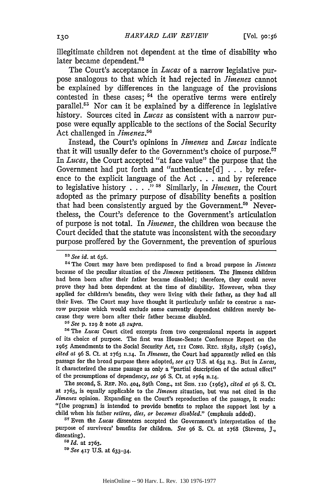illegitimate children not dependent at the time of disability who later became dependent.<sup>53</sup>

The Court's acceptance in *Lucas* of a narrow legislative purpose analogous to that which it had rejected in *Jimenez* cannot be explained by differences in the language of the provisions contested in these cases;  $54$  the operative terms were entirely parallel.<sup>55</sup> Nor can it be explained by a difference in legislative history. Sources cited in *Lucas* as consistent with a narrow purpose were equally applicable to the sections of the Social Security Act challenged in *Jimenez.56*

Instead, the Court's opinions in *Jimenez* and *Lucas* indicate that it will usually defer to the Government's choice of purpose.<sup>57</sup> In *Lucas,* the Court accepted *"at* face value" the purpose that the Government had put forth and "authenticate[d] . . . by reference to the explicit language of the Act  $\dots$  and by reference to legislative history . . . .<sup>"58</sup> Similarly, in *Jimenez*, the Court adopted as the primary purpose of disability benefits a position that had been consistently argued by the Government.<sup>50</sup> Nevertheless, the Court's deference to the Government's articulation of purpose is not total. In *Jimenez,* the children won because the Court decided that the statute was inconsistent with the secondary purpose proffered by the Government, the prevention of spurious

*See* p. **129** & note 48 *supra.*

**<sup>56</sup>**The *Lucas* Court cited excerpts from two congressional reports in support of its choice of purpose. The first was House-Senate Conference Report on the <sup>1965</sup>Amendments to the Social Security Act, **iii** CONG. REC. **18383, 18387 (i965),** cited *at* **96** S. Ct. at 2763 n.i4. In *Jimenez,* the Court had apparently relied on this passage for the broad purpose there adopted, see 417 U.S. at 634 n.3. But in *Lucas*, it characterized the same passage as only a "partial description of the actual effect" of the presumptions of dependency, see **96** S. Ct. at 2764 n.14.

The second, S. **REP.** No. 404, 89th Cong., 1st Sess. **3io** (1965), *cited at* 96 **S.** Ct. at 2763, is equally applicable to the *Jimenez* situation, but was not cited in the *Jimenez* opinion. Expanding on the Court's reproduction of the passage, it reads: "[the program] is intended to provide benefits to replace the support lost by a child when his father *retires, dies, or becomes disabled."* (emphasis added).

<sup>57</sup> Even the *Lucas* dissenters accepted the Government's interpretation of the purpose of survivors' benefits for children. *See* 96 **S.** Ct. at **2768** (Stevens, **J.,** dissenting).

*<sup>5</sup> s* Id. at **2763.** *<sup>59</sup> See* 417 U.S. at 633-34.

*<sup>&</sup>quot;' See id.* at 636.

**<sup>&</sup>quot;** The Court may have been predisposed to find a broad purpose in *Jimenez* because of the peculiar situation of the *Jimenez* petitioners. The Jimenez children had been born after their father became disabled; therefore, they could never prove they had been dependent at the time of disability. However, when they applied for children's benefits, they were living with their father, as they had all their lives. The Court may have thought it particularly unfair to construe a narrow purpose which would exclude some currently dependent children merely because they were born after their father became disabled.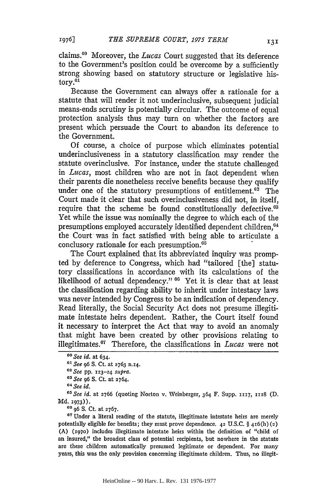claims."° Moreover, the *Lucas* Court suggested that its deference to the Government's position could be overcome by a sufficiently strong showing based on statutory structure or legislative his $torv.<sup>61</sup>$ 

Because the Government can always offer a rationale for a statute that will render it not underinclusive, subsequent judicial means-ends scrutiny is potentially circular. The outcome of equal protection analysis thus may turn on whether the factors are present which persuade the Court to abandon its deference to the Government.

Of course, a choice of purpose which eliminates potential underinclusiveness in a statutory classification may render the statute overinclusive. For instance, under the statute challenged in *Lucas,* most children who are not in fact dependent when their parents die nonetheless receive benefits because they qualify under one of the statutory presumptions of entitlement. $62$  The Court made it clear that such overinclusiveness did not, in itself, require that the scheme be found constitutionally defective.<sup>63</sup> Yet While the issue was nominally the degree to which each of the presumptions employed accurately identified dependent children, <sup>64</sup> the Court was in fact satisfied with being able to articulate a conclusory rationale for each presumption.<sup>65</sup>

The Court explained that its abbreviated inquiry was prompted by deference to Congress, which had "tailored [the] statutory classifications in accordance with its calculations of the likelihood of actual dependency." **66** Yet it is clear that at least the classification regarding ability to inherit under intestacy laws was never intended by Congress to be an indication of dependency. Read literally, the Social Security Act does not presume illegitimate intestate heirs dependent. Rather, the Court itself found it necessary to interpret the Act that way to avoid an anomaly that might have been created by other provisions relating to illegitimates.67 Therefore, the classifications in *Lucas* were not

*<sup>4</sup>See id.*

**G"** *See id.* at **2766 (quoting Norton v. Weinberger, 364 F. Supp. i17, 1128 (D. Md. 1973)).**

**66 96 S. Ct. at 2767.**

**67 Under** a **literal reading of the statute, illegitimate intestate heirs are merely potentially eligible for benefits; they** must **prove dependence. 42 U.S.C.** § **416(h)** (2) **(A) (197o) includes illegitimate intestate heirs within the definition of "child of an insured," the broadest class of potential recipients, but nowhere in the statute are these children automatically presumed legitimate or dependent. For many years, this was the only provision concerning illegitimate children. Thus, no illegit-**

**<sup>60</sup>***See id.* at 634.

**<sup>6&#</sup>x27;** *See* 96 **S. Ct.** at **2763 n.14.**

<sup>12</sup>*See* **pp.** X23-24 *supra.*

*<sup>&</sup>quot; See* **96 S.** Ct. at 2764.